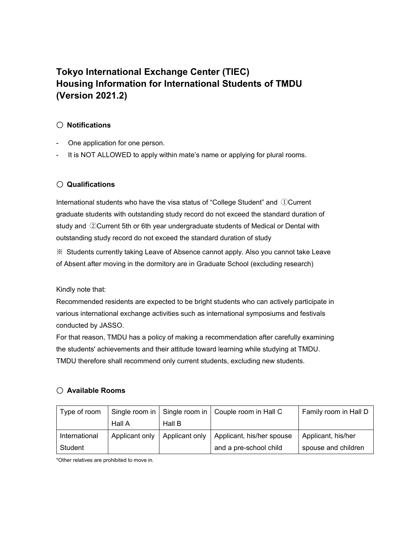# **Tokyo International Exchange Center (TIEC) Housing Information for International Students of TMDU (Version 2021.2)**

## 〇 **Notifications**

- One application for one person.
- It is NOT ALLOWED to apply within mate's name or applying for plural rooms.

## 〇 **Qualifications**

International students who have the visa status of "College Student" and ①Current graduate students with outstanding study record do not exceed the standard duration of study and ②Current 5th or 6th year undergraduate students of Medical or Dental with outstanding study record do not exceed the standard duration of study

※ Students currently taking Leave of Absence cannot apply. Also you cannot take Leave of Absent after moving in the dormitory are in Graduate School (excluding research)

Kindly note that:

Recommended residents are expected to be bright students who can actively participate in various international exchange activities such as international symposiums and festivals conducted by JASSO.

For that reason, TMDU has a policy of making a recommendation after carefully examining the students' achievements and their attitude toward learning while studying at TMDU. TMDU therefore shall recommend only current students, excluding new students.

## 〇 **Available Rooms**

| Type of room  |                | Single room in   Single room in   Couple room in Hall C |                           | Family room in Hall D |
|---------------|----------------|---------------------------------------------------------|---------------------------|-----------------------|
|               | Hall A         | Hall B                                                  |                           |                       |
| International | Applicant only | Applicant only                                          | Applicant, his/her spouse | Applicant, his/her    |
| Student       |                |                                                         | and a pre-school child    | spouse and children   |

\*Other relatives are prohibited to move in.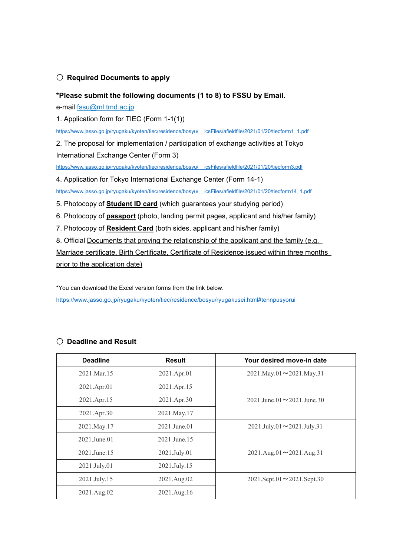### 〇 **Required Documents to apply**

#### **\*Please submit the following documents (1 to 8) to FSSU by Email.**

e-mail:[fssu@ml.tmd.ac.jp](mailto:fssu@ml.tmd.ac.jp)

1. Application form for TIEC (Form 1-1(1))

https://www.jasso.go.jp/ryugaku/kyoten/tiec/residence/bosyu/ icsFiles/afieldfile/2021/01/20/tiecform1\_1.pdf

2. The proposal for implementation / participation of exchange activities at Tokyo International Exchange Center (Form 3)

https://www.jasso.go.jp/ryugaku/kyoten/tiec/residence/bosyu/ icsFiles/afieldfile/2021/01/20/tiecform3.pdf

4. Application for Tokyo International Exchange Center (Form 14-1)

https://www.jasso.go.jp/ryugaku/kyoten/tiec/residence/bosyu/ icsFiles/afieldfile/2021/01/20/tiecform14\_1.pdf

- 5. Photocopy of **Student ID card** (which guarantees your studying period)
- 6. Photocopy of **passport** (photo, landing permit pages, applicant and his/her family)
- 7. Photocopy of **Resident Card** (both sides, applicant and his/her family)
- 8. Official Documents that proving the relationship of the applicant and the family (e.g.

Marriage certificate, Birth Certificate, Certificate of Residence issued within three months

prior to the application date)

\*You can download the Excel version forms from the link below.

<https://www.jasso.go.jp/ryugaku/kyoten/tiec/residence/bosyu/ryugakusei.html#tennpusyorui>

| <b>Deadline</b> | <b>Result</b> | Your desired move-in date             |  |
|-----------------|---------------|---------------------------------------|--|
| 2021.Mar.15     | 2021.Apr.01   | $2021$ .May.01 $\sim$ 2021.May.31     |  |
| 2021.Apr.01     | 2021.Apr.15   |                                       |  |
| 2021.Apr.15     | 2021.Apr.30   | $2021$ .June.01 $\sim$ 2021.June.30   |  |
| 2021.Apr.30     | 2021.May.17   |                                       |  |
| 2021.May.17     | 2021.June.01  | $2021$ .July.01 $\sim$ 2021.July.31   |  |
| 2021.June.01    | 2021.June.15  |                                       |  |
| 2021.June.15    | 2021.July.01  | $2021.Aug.01 \rightarrow 2021.Aug.31$ |  |
| 2021.July.01    | 2021.July.15  |                                       |  |
| 2021.July.15    | 2021.Aug.02   | $2021$ .Sept.01 $\sim$ 2021.Sept.30   |  |
| 2021.Aug.02     | 2021.Aug.16   |                                       |  |

### 〇 **Deadline and Result**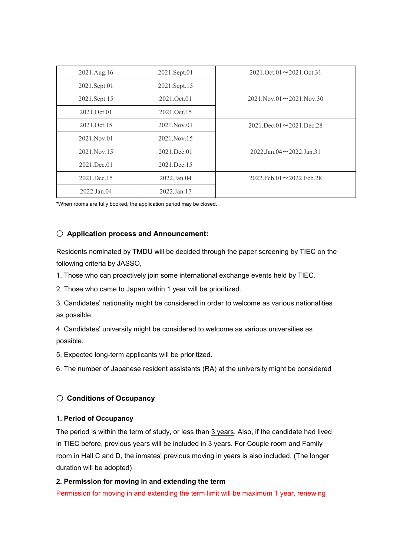| 2021.Aug.16   | 2021.Sept.01  | $2021.$ Oct.01 $\sim$ 2021.Oct.31     |
|---------------|---------------|---------------------------------------|
| 2021.Sept.01  | 2021.Sept.15  |                                       |
| 2021.Sept.15  | 2021.Oct.01   | $2021$ . Nov. 01 $\sim$ 2021. Nov. 30 |
| 2021.Oct.01   | 2021.Oct.15   |                                       |
| 2021.Oct.15   | 2021. Nov. 01 | $2021$ .Dec.01 $\sim$ 2021.Dec.28     |
| 2021. Nov. 01 | 2021. Nov. 15 |                                       |
| 2021. Nov. 15 | 2021.Dec.01   | $2022$ .Jan. $04 \sim 2022$ .Jan.31   |
| 2021.Dec.01   | 2021.Dec.15   |                                       |
| 2021.Dec.15   | 2022.Jan.04   | $2022$ .Feb.01 $\sim$ 2022.Feb.28     |
| 2022.Jan.04   | 2022.Jan.17   |                                       |

\*When rooms are fully booked, the application period may be closed.

#### 〇 **Application process and Announcement:**

Residents nominated by TMDU will be decided through the paper screening by TIEC on the following criteria by JASSO,

1. Those who can proactively join some international exchange events held by TIEC.

2. Those who came to Japan within 1 year will be prioritized.

3. Candidates' nationality might be considered in order to welcome as various nationalities as possible.

4. Candidates' university might be considered to welcome as various universities as possible.

5. Expected long-term applicants will be prioritized.

6. The number of Japanese resident assistants (RA) at the university might be considered

### 〇 **Conditions of Occupancy**

#### **1. Period of Occupancy**

The period is within the term of study, or less than 3 years. Also, if the candidate had lived in TIEC before, previous years will be included in 3 years. For Couple room and Family room in Hall C and D, the inmates' previous moving in years is also included. (The longer duration will be adopted)

#### **2. Permission for moving in and extending the term**

Permission for moving in and extending the term limit will be maximum 1 year, renewing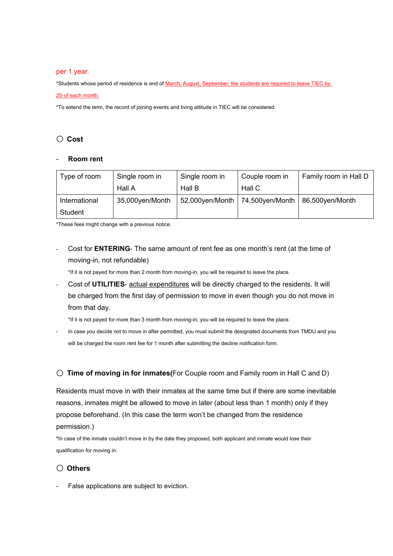#### per 1 year.

\*Students whose period of residence is end of March, August, September, the students are required to leave TIEC by

#### 25<sup>th</sup> of each month.

\*To extend the term, the record of joining events and living attitude in TIEC will be considered.

#### 〇 **Cost**

#### - **Room rent**

| Type of room  | Single room in  | Single room in  | Couple room in  | Family room in Hall D |
|---------------|-----------------|-----------------|-----------------|-----------------------|
|               | Hall A          | Hall B          | Hall C          |                       |
| International | 35,000yen/Month | 52,000yen/Month | 74,500yen/Month | 86,500yen/Month       |
| Student       |                 |                 |                 |                       |

\*These fees might change with a previous notice.

Cost for **ENTERING**- The same amount of rent fee as one month's rent (at the time of moving-in, not refundable)

\*If it is not payed for more than 2 month from moving-in, you will be required to leave the place.

- Cost of **UTILITIES**- actual expenditures will be directly charged to the residents. It will be charged from the first day of permission to move in even though you do not move in from that day.

\*If it is not payed for more than 3 month from moving-in, you will be required to leave the place.

In case you decide not to move in after permitted, you must submit the designated documents from TMDU and you will be charged the room rent fee for 1 month after submitting the decline notification form.

### 〇 **Time of moving in for inmates(**For Couple room and Family room in Hall C and D)

Residents must move in with their inmates at the same time but if there are some inevitable reasons, inmates might be allowed to move in later (about less than 1 month) only if they propose beforehand. (In this case the term won't be changed from the residence permission.)

**\***In case of the inmate couldn't move in by the date they proposed, both applicant and inmate would lose their qualification for moving in.

#### 〇 **Others**

False applications are subject to eviction.